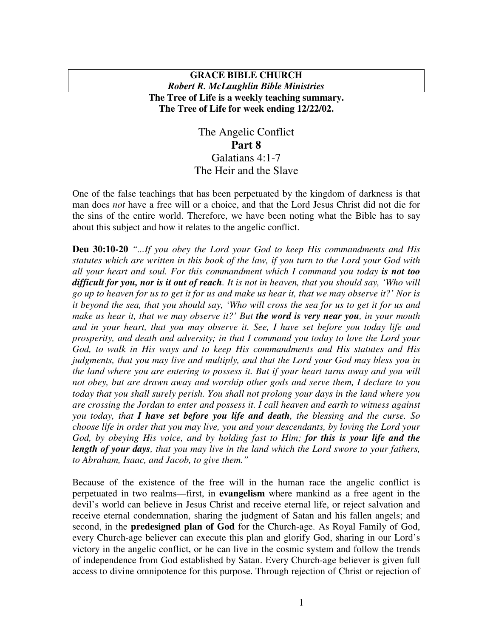## **GRACE BIBLE CHURCH** *Robert R. McLaughlin Bible Ministries*

**The Tree of Life is a weekly teaching summary. The Tree of Life for week ending 12/22/02.**

> The Angelic Conflict **Part 8** Galatians 4:1-7 The Heir and the Slave

One of the false teachings that has been perpetuated by the kingdom of darkness is that man does *not* have a free will or a choice, and that the Lord Jesus Christ did not die for the sins of the entire world. Therefore, we have been noting what the Bible has to say about this subject and how it relates to the angelic conflict.

**Deu 30:10-20** *"...If you obey the Lord your God to keep His commandments and His statutes which are written in this book of the law, if you turn to the Lord your God with all your heart and soul. For this commandment which I command you today is not too* difficult for you, nor is it out of reach. It is not in heaven, that you should say, 'Who will go up to heaven for us to get it for us and make us hear it, that we may observe it?' Nor is it beyond the sea, that you should say, 'Who will cross the sea for us to get it for us and make us hear it, that we may observe it?' But the word is very near you, in your mouth *and in your heart, that you may observe it. See, I have set before you today life and prosperity, and death and adversity; in that I command you today to love the Lord your God, to walk in His ways and to keep His commandments and His statutes and His judgments, that you may live and multiply, and that the Lord your God may bless you in the land where you are entering to possess it. But if your heart turns away and you will not obey, but are drawn away and worship other gods and serve them, I declare to you today that you shall surely perish. You shall not prolong your days in the land where you are crossing the Jordan to enter and possess it. I call heaven and earth to witness against you today, that I have set before you life and death, the blessing and the curse. So choose life in order that you may live, you and your descendants, by loving the Lord your God, by obeying His voice, and by holding fast to Him; for this is your life and the length of your days, that you may live in the land which the Lord swore to your fathers, to Abraham, Isaac, and Jacob, to give them."*

Because of the existence of the free will in the human race the angelic conflict is perpetuated in two realms—first, in **evangelism** where mankind as a free agent in the devil's world can believe in Jesus Christ and receive eternal life, or reject salvation and receive eternal condemnation, sharing the judgment of Satan and his fallen angels; and second, in the **predesigned plan of God** for the Church-age. As Royal Family of God, every Church-age believer can execute this plan and glorify God, sharing in our Lord's victory in the angelic conflict, or he can live in the cosmic system and follow the trends of independence from God established by Satan. Every Church-age believer is given full access to divine omnipotence for this purpose. Through rejection of Christ or rejection of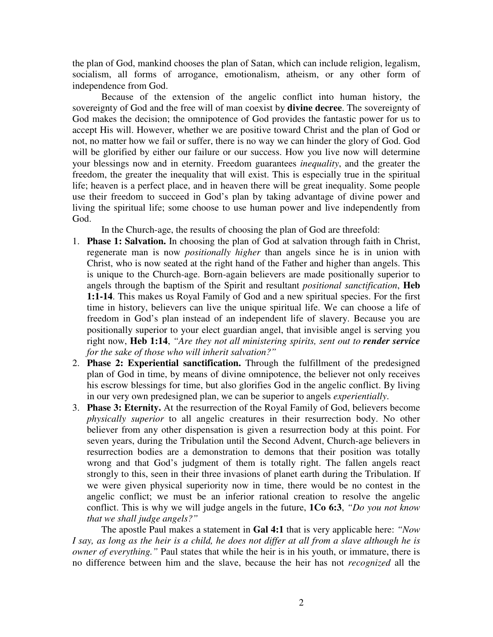the plan of God, mankind chooses the plan of Satan, which can include religion, legalism, socialism, all forms of arrogance, emotionalism, atheism, or any other form of independence from God.

Because of the extension of the angelic conflict into human history, the sovereignty of God and the free will of man coexist by **divine decree**. The sovereignty of God makes the decision; the omnipotence of God provides the fantastic power for us to accept His will. However, whether we are positive toward Christ and the plan of God or not, no matter how we fail or suffer, there is no way we can hinder the glory of God. God will be glorified by either our failure or our success. How you live now will determine your blessings now and in eternity. Freedom guarantees *inequality*, and the greater the freedom, the greater the inequality that will exist. This is especially true in the spiritual life; heaven is a perfect place, and in heaven there will be great inequality. Some people use their freedom to succeed in God's plan by taking advantage of divine power and living the spiritual life; some choose to use human power and live independently from God.

In the Church-age, the results of choosing the plan of God are threefold:

- 1. **Phase 1: Salvation.** In choosing the plan of God at salvation through faith in Christ, regenerate man is now *positionally higher* than angels since he is in union with Christ, who is now seated at the right hand of the Father and higher than angels. This is unique to the Church-age. Born-again believers are made positionally superior to angels through the baptism of the Spirit and resultant *positional sanctification*, **Heb 1:1-14**. This makes us Royal Family of God and a new spiritual species. For the first time in history, believers can live the unique spiritual life. We can choose a life of freedom in God's plan instead of an independent life of slavery. Because you are positionally superior to your elect guardian angel, that invisible angel is serving you right now, **Heb 1:14**, *"Are they not all ministering spirits, sent out to render service for the sake of those who will inherit salvation?"*
- 2. **Phase 2: Experiential sanctification.** Through the fulfillment of the predesigned plan of God in time, by means of divine omnipotence, the believer not only receives his escrow blessings for time, but also glorifies God in the angelic conflict. By living in our very own predesigned plan, we can be superior to angels *experientially*.
- 3. **Phase 3: Eternity.** At the resurrection of the Royal Family of God, believers become *physically superior* to all angelic creatures in their resurrection body. No other believer from any other dispensation is given a resurrection body at this point. For seven years, during the Tribulation until the Second Advent, Church-age believers in resurrection bodies are a demonstration to demons that their position was totally wrong and that God's judgment of them is totally right. The fallen angels react strongly to this, seen in their three invasions of planet earth during the Tribulation. If we were given physical superiority now in time, there would be no contest in the angelic conflict; we must be an inferior rational creation to resolve the angelic conflict. This is why we will judge angels in the future, **1Co 6:3**, *"Do you not know that we shall judge angels?"*

The apostle Paul makes a statement in **Gal 4:1** that is very applicable here: *"Now* I say, as long as the heir is a child, he does not differ at all from a slave although he is *owner of everything."* Paul states that while the heir is in his youth, or immature, there is no difference between him and the slave, because the heir has not *recognized* all the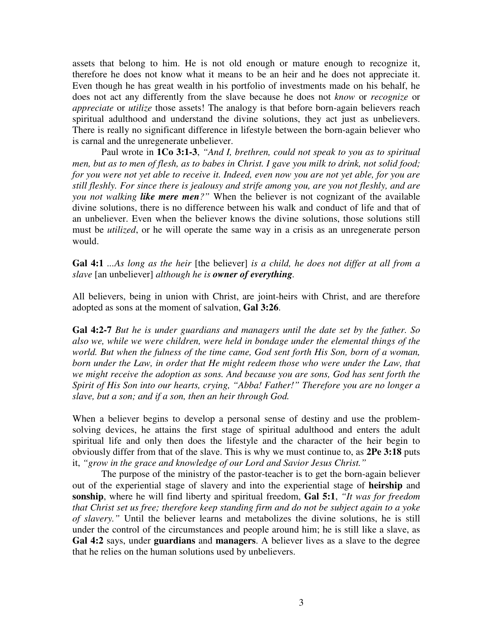assets that belong to him. He is not old enough or mature enough to recognize it, therefore he does not know what it means to be an heir and he does not appreciate it. Even though he has great wealth in his portfolio of investments made on his behalf, he does not act any differently from the slave because he does not *know* or *recognize* or *appreciate* or *utilize* those assets! The analogy is that before born-again believers reach spiritual adulthood and understand the divine solutions, they act just as unbelievers. There is really no significant difference in lifestyle between the born-again believer who is carnal and the unregenerate unbeliever.

Paul wrote in **1Co 3:1-3**, *"And I, brethren, could not speak to you as to spiritual* men, but as to men of flesh, as to babes in Christ. I gave you milk to drink, not solid food; for you were not yet able to receive it. Indeed, even now you are not yet able, for you are *still fleshly. For since there is jealousy and strife among you, are you not fleshly, and are you not walking like mere men?"* When the believer is not cognizant of the available divine solutions, there is no difference between his walk and conduct of life and that of an unbeliever. Even when the believer knows the divine solutions, those solutions still must be *utilized*, or he will operate the same way in a crisis as an unregenerate person would.

**Gal 4:1** *...As long as the heir* [the believer] *is a child, he does not differ at all from a slave* [an unbeliever] *although he is owner of everything.*

All believers, being in union with Christ, are joint-heirs with Christ, and are therefore adopted as sons at the moment of salvation, **Gal 3:26**.

**Gal 4:2-7** *But he is under guardians and managers until the date set by the father. So also we, while we were children, were held in bondage under the elemental things of the world. But when the fulness of the time came, God sent forth His Son, born of a woman, born under the Law, in order that He might redeem those who were under the Law, that we might receive the adoption as sons. And because you are sons, God has sent forth the Spirit of His Son into our hearts, crying, "Abba! Father!" Therefore you are no longer a slave, but a son; and if a son, then an heir through God.*

When a believer begins to develop a personal sense of destiny and use the problemsolving devices, he attains the first stage of spiritual adulthood and enters the adult spiritual life and only then does the lifestyle and the character of the heir begin to obviously differ from that of the slave. This is why we must continue to, as **2Pe 3:18** puts it, *"grow in the grace and knowledge of our Lord and Savior Jesus Christ."*

The purpose of the ministry of the pastor-teacher is to get the born-again believer out of the experiential stage of slavery and into the experiential stage of **heirship** and **sonship**, where he will find liberty and spiritual freedom, **Gal 5:1**, *"It was for freedom that Christ set us free; therefore keep standing firm and do not be subject again to a yoke of slavery."* Until the believer learns and metabolizes the divine solutions, he is still under the control of the circumstances and people around him; he is still like a slave, as **Gal 4:2** says, under **guardians** and **managers**. A believer lives as a slave to the degree that he relies on the human solutions used by unbelievers.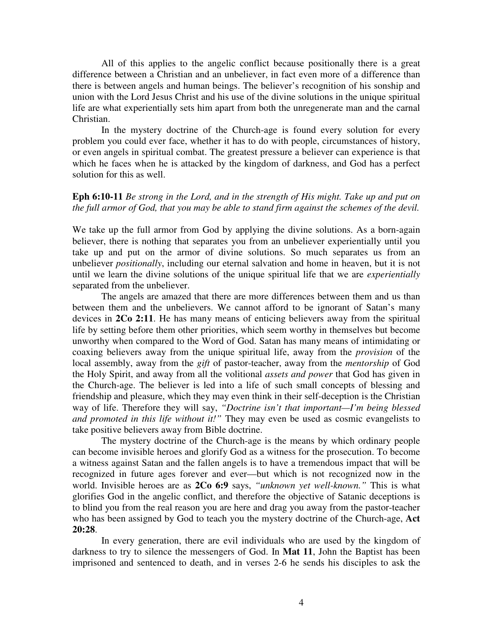All of this applies to the angelic conflict because positionally there is a great difference between a Christian and an unbeliever, in fact even more of a difference than there is between angels and human beings. The believer's recognition of his sonship and union with the Lord Jesus Christ and his use of the divine solutions in the unique spiritual life are what experientially sets him apart from both the unregenerate man and the carnal Christian.

In the mystery doctrine of the Church-age is found every solution for every problem you could ever face, whether it has to do with people, circumstances of history, or even angels in spiritual combat. The greatest pressure a believer can experience is that which he faces when he is attacked by the kingdom of darkness, and God has a perfect solution for this as well.

## **Eph 6:10-11** *Be strong in the Lord, and in the strength of His might. Take up and put on the full armor of God, that you may be able to stand firm against the schemes of the devil.*

We take up the full armor from God by applying the divine solutions. As a born-again believer, there is nothing that separates you from an unbeliever experientially until you take up and put on the armor of divine solutions. So much separates us from an unbeliever *positionally*, including our eternal salvation and home in heaven, but it is not until we learn the divine solutions of the unique spiritual life that we are *experientially* separated from the unbeliever.

The angels are amazed that there are more differences between them and us than between them and the unbelievers. We cannot afford to be ignorant of Satan's many devices in **2Co 2:11**. He has many means of enticing believers away from the spiritual life by setting before them other priorities, which seem worthy in themselves but become unworthy when compared to the Word of God. Satan has many means of intimidating or coaxing believers away from the unique spiritual life, away from the *provision* of the local assembly, away from the *gift* of pastor-teacher, away from the *mentorship* of God the Holy Spirit, and away from all the volitional *assets and power* that God has given in the Church-age. The believer is led into a life of such small concepts of blessing and friendship and pleasure, which they may even think in their self-deception is the Christian way of life. Therefore they will say, *"Doctrine isn't that important—I'm being blessed and promoted in this life without it!"* They may even be used as cosmic evangelists to take positive believers away from Bible doctrine.

The mystery doctrine of the Church-age is the means by which ordinary people can become invisible heroes and glorify God as a witness for the prosecution. To become a witness against Satan and the fallen angels is to have a tremendous impact that will be recognized in future ages forever and ever—but which is not recognized now in the world. Invisible heroes are as **2Co 6:9** says, *"unknown yet well-known."* This is what glorifies God in the angelic conflict, and therefore the objective of Satanic deceptions is to blind you from the real reason you are here and drag you away from the pastor-teacher who has been assigned by God to teach you the mystery doctrine of the Church-age, **Act 20:28**.

In every generation, there are evil individuals who are used by the kingdom of darkness to try to silence the messengers of God. In **Mat 11**, John the Baptist has been imprisoned and sentenced to death, and in verses 2-6 he sends his disciples to ask the